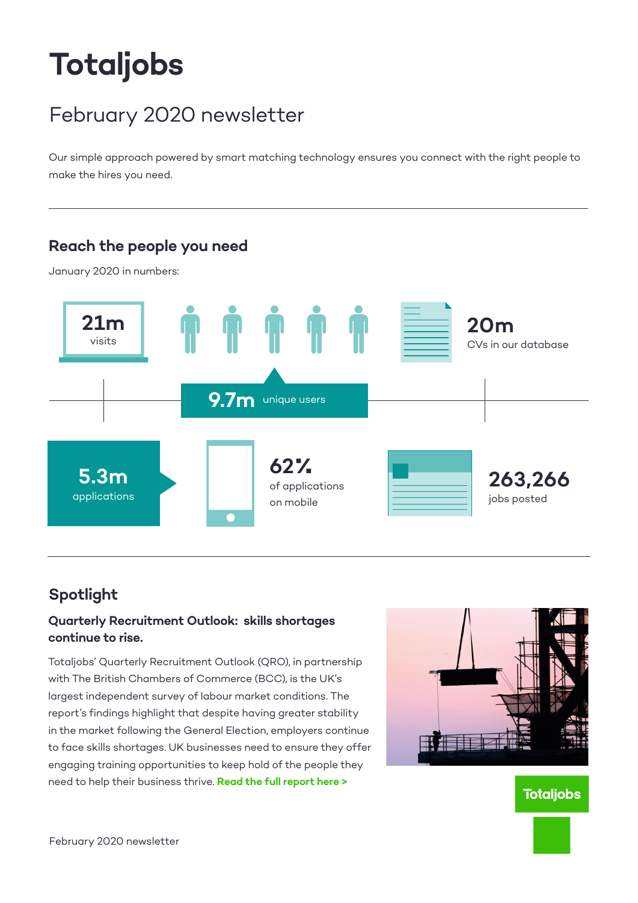# **Totaljobs**

# February 2020 newsletter

Our simple approach powered by smart matching technology ensures you connect with the right people to make the hires you need.



## **Spotlight**

#### **Quarterly Recruitment Outlook: skills shortages continue to rise.**

Totaljobs' Quarterly Recruitment Outlook (QRO), in partnership with The British Chambers of Commerce (BCC), is the UK's largest independent survey of labour market conditions. The report's findings highlight that despite having greater stability in the market following the General Election, employers continue to face skills shortages. UK businesses need to ensure they offer engaging training opportunities to keep hold of the people they need to help their business thrive. **[Read the full report here >](https://recruiting.totaljobs.com/quarterly-recruitment-outlook-Q4-2019)** 



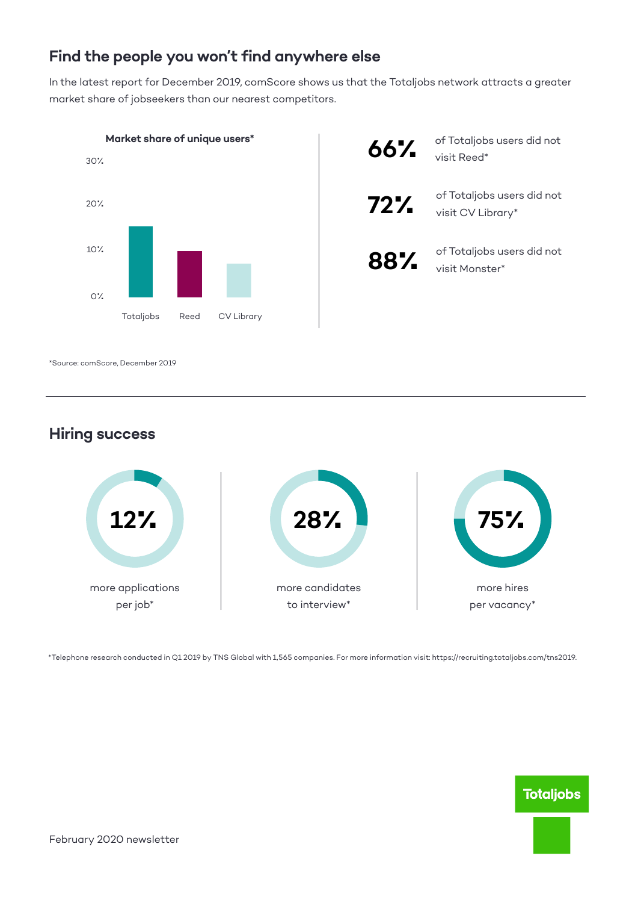### **Find the people you won't find anywhere else**

In the latest report for December 2019, comScore shows us that the Totaljobs network attracts a greater market share of jobseekers than our nearest competitors.



**Hiring success**



\*Telephone research conducted in Q1 2019 by TNS Global with 1,565 companies. For more information visit: https://recruiting.totaljobs.com/tns2019.

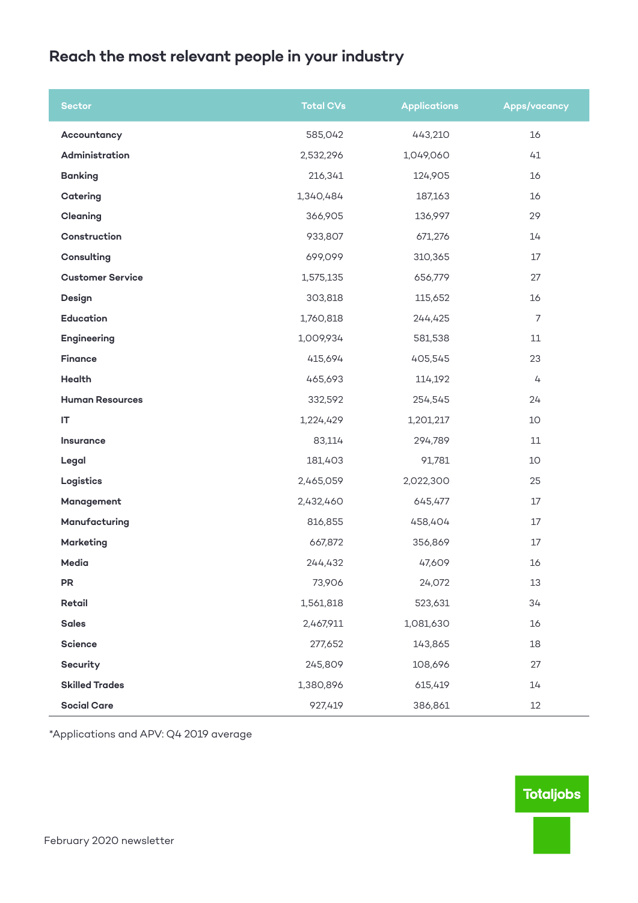# **Reach the most relevant people in your industry**

| <b>Sector</b>           | <b>Total CVs</b> | <b>Applications</b> | <b>Apps/vacancy</b> |
|-------------------------|------------------|---------------------|---------------------|
| Accountancy             | 585,042          | 443,210             | 16                  |
| Administration          | 2,532,296        | 1,049,060           | 41                  |
| <b>Banking</b>          | 216,341          | 124,905             | 16                  |
| Catering                | 1,340,484        | 187,163             | 16                  |
| Cleaning                | 366,905          | 136,997             | 29                  |
| Construction            | 933,807          | 671,276             | 14                  |
| Consulting              | 699,099          | 310,365             | 17                  |
| <b>Customer Service</b> | 1,575,135        | 656,779             | 27                  |
| Design                  | 303,818          | 115,652             | 16                  |
| <b>Education</b>        | 1,760,818        | 244,425             | $\overline{7}$      |
| Engineering             | 1,009,934        | 581,538             | 11                  |
| <b>Finance</b>          | 415,694          | 405,545             | 23                  |
| Health                  | 465,693          | 114,192             | 4                   |
| <b>Human Resources</b>  | 332,592          | 254,545             | 24                  |
| IT                      | 1,224,429        | 1,201,217           | 10                  |
| Insurance               | 83,114           | 294,789             | 11                  |
| Legal                   | 181,403          | 91,781              | 10                  |
| Logistics               | 2,465,059        | 2,022,300           | 25                  |
| Management              | 2,432,460        | 645,477             | 17                  |
| Manufacturing           | 816,855          | 458,404             | 17                  |
| <b>Marketing</b>        | 667,872          | 356,869             | 17                  |
| Media                   | 244,432          | 47,609              | 16                  |
| ${\sf PR}$              | 73,906           | 24,072              | 13                  |
| Retail                  | 1,561,818        | 523,631             | 34                  |
| <b>Sales</b>            | 2,467,911        | 1,081,630           | 16                  |
| Science                 | 277,652          | 143,865             | 18                  |
| Security                | 245,809          | 108,696             | 27                  |
| <b>Skilled Trades</b>   | 1,380,896        | 615,419             | 14                  |
| <b>Social Care</b>      | 927,419          | 386,861             | $12\,$              |

\*Applications and APV: Q4 2019 average